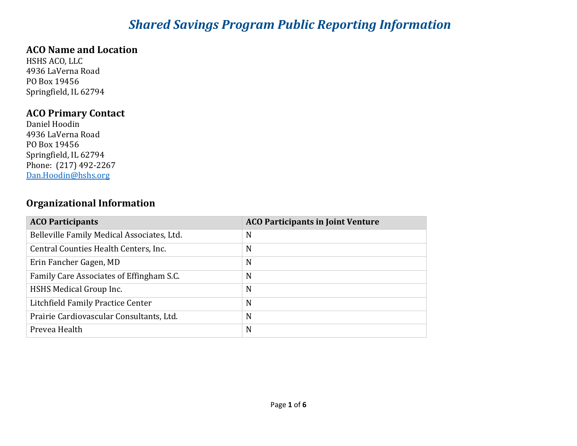# *Shared Savings Program Public Reporting Information*

#### **ACO Name and Location**

HSHS ACO, LLC 4936 LaVerna Road PO Box 19456 Springfield, IL 62794

#### **ACO Primary Contact**

Daniel Hoodin 4936 LaVerna Road PO Box 19456 Springfield, IL 62794 Phone: (217) 492-2267 [Dan.Hoodin@hshs.org](mailto:Dan.Hoodin@hshs.org)

### **Organizational Information**

| <b>ACO Participants</b>                    | <b>ACO Participants in Joint Venture</b> |
|--------------------------------------------|------------------------------------------|
| Belleville Family Medical Associates, Ltd. | N                                        |
| Central Counties Health Centers, Inc.      | N                                        |
| Erin Fancher Gagen, MD                     | N                                        |
| Family Care Associates of Effingham S.C.   | N                                        |
| HSHS Medical Group Inc.                    | N                                        |
| Litchfield Family Practice Center          | N                                        |
| Prairie Cardiovascular Consultants, Ltd.   | N                                        |
| Prevea Health                              | N                                        |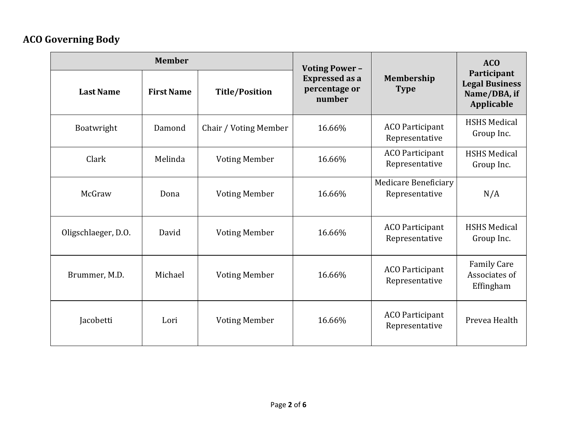# **ACO Governing Body**

| <b>Member</b>       |                   | <b>Voting Power -</b> |                                                  | <b>ACO</b>                                    |                                                                    |  |
|---------------------|-------------------|-----------------------|--------------------------------------------------|-----------------------------------------------|--------------------------------------------------------------------|--|
| <b>Last Name</b>    | <b>First Name</b> | <b>Title/Position</b> | <b>Expressed as a</b><br>percentage or<br>number | Membership<br><b>Type</b>                     | Participant<br><b>Legal Business</b><br>Name/DBA, if<br>Applicable |  |
| Boatwright          | Damond            | Chair / Voting Member | 16.66%                                           | <b>ACO</b> Participant<br>Representative      | <b>HSHS Medical</b><br>Group Inc.                                  |  |
| Clark               | Melinda           | <b>Voting Member</b>  | 16.66%                                           | <b>ACO Participant</b><br>Representative      | <b>HSHS Medical</b><br>Group Inc.                                  |  |
| McGraw              | Dona              | <b>Voting Member</b>  | 16.66%                                           | <b>Medicare Beneficiary</b><br>Representative | N/A                                                                |  |
| Oligschlaeger, D.O. | David             | <b>Voting Member</b>  | 16.66%                                           | <b>ACO</b> Participant<br>Representative      | <b>HSHS Medical</b><br>Group Inc.                                  |  |
| Brummer, M.D.       | Michael           | <b>Voting Member</b>  | 16.66%                                           | <b>ACO</b> Participant<br>Representative      | <b>Family Care</b><br>Associates of<br>Effingham                   |  |
| Jacobetti           | Lori              | <b>Voting Member</b>  | 16.66%                                           | <b>ACO</b> Participant<br>Representative      | Prevea Health                                                      |  |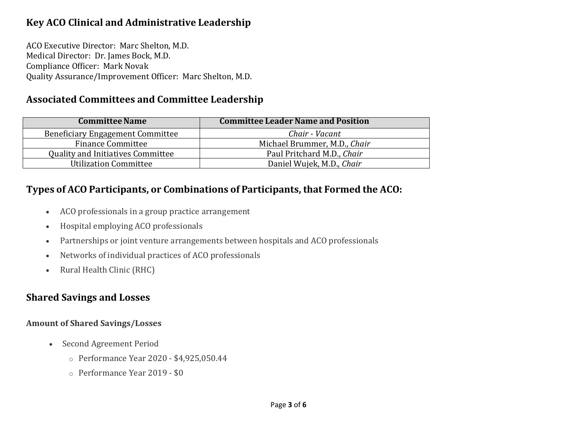## **Key ACO Clinical and Administrative Leadership**

ACO Executive Director: Marc Shelton, M.D. Medical Director: Dr. James Bock, M.D. Compliance Officer: Mark Novak Quality Assurance/Improvement Officer: Marc Shelton, M.D.

### **Associated Committees and Committee Leadership**

| <b>Committee Name</b>                    | <b>Committee Leader Name and Position</b> |
|------------------------------------------|-------------------------------------------|
| <b>Beneficiary Engagement Committee</b>  | Chair - Vacant                            |
| <b>Finance Committee</b>                 | Michael Brummer, M.D., Chair              |
| <b>Quality and Initiatives Committee</b> | Paul Pritchard M.D., Chair                |
| <b>Utilization Committee</b>             | Daniel Wujek, M.D., Chair                 |

#### **Types of ACO Participants, or Combinations of Participants, that Formed the ACO:**

- ACO professionals in a group practice arrangement
- Hospital employing ACO professionals
- Partnerships or joint venture arrangements between hospitals and ACO professionals
- Networks of individual practices of ACO professionals
- Rural Health Clinic (RHC)

#### **Shared Savings and Losses**

#### **Amount of Shared Savings/Losses**

- Second Agreement Period
	- o Performance Year 2020 \$4,925,050.44
	- o Performance Year 2019 \$0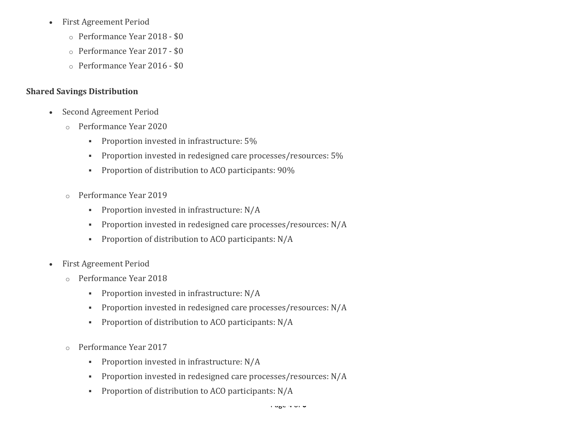- First Agreement Period
	- o Performance Year 2018 \$0
	- o Performance Year 2017 \$0
	- o Performance Year 2016 \$0

#### **Shared Savings Distribution**

- Second Agreement Period
	- o Performance Year 2020
		- **Proportion invested in infrastructure: 5%**
		- **Proportion invested in redesigned care processes/resources: 5%**
		- **Proportion of distribution to ACO participants: 90%**
	- o Performance Year 2019
		- **Proportion invested in infrastructure: N/A**
		- Proportion invested in redesigned care processes/resources: N/A
		- **Proportion of distribution to ACO participants: N/A**
- First Agreement Period
	- o Performance Year 2018
		- **Proportion invested in infrastructure: N/A**
		- Proportion invested in redesigned care processes/resources: N/A
		- **•** Proportion of distribution to ACO participants: N/A
	- o Performance Year 2017
		- **Proportion invested in infrastructure: N/A**
		- Proportion invested in redesigned care processes/resources: N/A
		- **Proportion of distribution to ACO participants: N/A**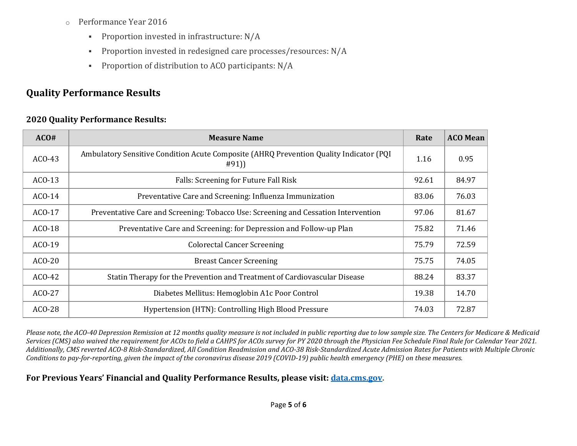- o Performance Year 2016
	- **Proportion invested in infrastructure: N/A**
	- Proportion invested in redesigned care processes/resources: N/A
	- **Proportion of distribution to ACO participants: N/A**

# **Quality Performance Results**

#### **2020 Quality Performance Results:**

| ACO#     | <b>Measure Name</b>                                                                             |       | <b>ACO Mean</b> |
|----------|-------------------------------------------------------------------------------------------------|-------|-----------------|
| $ACO-43$ | Ambulatory Sensitive Condition Acute Composite (AHRQ Prevention Quality Indicator (PQI)<br>#91) |       | 0.95            |
| $ACO-13$ | Falls: Screening for Future Fall Risk                                                           |       | 84.97           |
| $ACO-14$ | Preventative Care and Screening: Influenza Immunization                                         | 83.06 | 76.03           |
| $ACO-17$ | Preventative Care and Screening: Tobacco Use: Screening and Cessation Intervention              | 97.06 | 81.67           |
| $ACO-18$ | Preventative Care and Screening: for Depression and Follow-up Plan                              | 75.82 | 71.46           |
| $ACO-19$ | <b>Colorectal Cancer Screening</b>                                                              |       | 72.59           |
| $ACO-20$ | <b>Breast Cancer Screening</b>                                                                  | 75.75 | 74.05           |
| $ACO-42$ | Statin Therapy for the Prevention and Treatment of Cardiovascular Disease                       | 88.24 | 83.37           |
| $ACO-27$ | Diabetes Mellitus: Hemoglobin A1c Poor Control                                                  | 19.38 | 14.70           |
| ACO-28   | Hypertension (HTN): Controlling High Blood Pressure                                             | 74.03 | 72.87           |

*Please note, the ACO-40 Depression Remission at 12 months quality measure is not included in public reporting due to low sample size. The Centers for Medicare & Medicaid Services (CMS) also waived the requirement for ACOs to field a CAHPS for ACOs survey for PY 2020 through the Physician Fee Schedule Final Rule for Calendar Year 2021. Additionally, CMS reverted ACO-8 Risk-Standardized, All Condition Readmission and ACO-38 Risk-Standardized Acute Admission Rates for Patients with Multiple Chronic Conditions to pay-for-reporting, given the impact of the coronavirus disease 2019 (COVID-19) public health emergency (PHE) on these measures.*

#### **For Previous Years' Financial and Quality Performance Results, please visit: [data.cms.gov.](https://data.cms.gov/browse?category=Special%20Programs%2FInitiatives%20-%20Medicare%20Shared%20Savings%20Program%20(MSSP))**